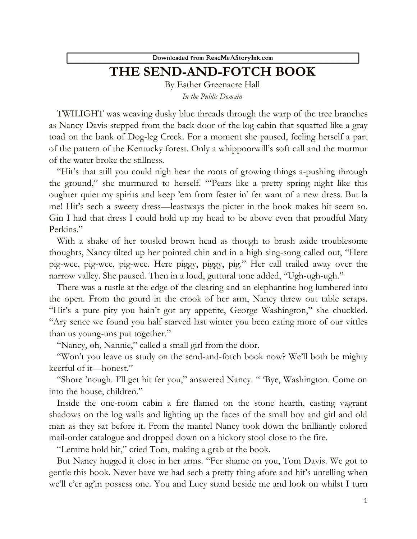Downloaded from ReadMeAStoryInk.com

## **THE SEND-AND-FOTCH BOOK**

By Esther Greenacre Hall *In the Public Domain*

TWILIGHT was weaving dusky blue threads through the warp of the tree branches as Nancy Davis stepped from the back door of the log cabin that squatted like a gray toad on the bank of Dog-leg Creek. For a moment she paused, feeling herself a part of the pattern of the Kentucky forest. Only a whippoorwill's soft call and the murmur of the water broke the stillness.

"Hit's that still you could nigh hear the roots of growing things a-pushing through the ground," she murmured to herself. "'Pears like a pretty spring night like this oughter quiet my spirits and keep 'em from fester in' fer want of a new dress. But la me! Hit's sech a sweety dress—leastways the picter in the book makes hit seem so. Gin I had that dress I could hold up my head to be above even that proudful Mary Perkins."

With a shake of her tousled brown head as though to brush aside troublesome thoughts, Nancy tilted up her pointed chin and in a high sing-song called out, "Here pig-wee, pig-wee, pig-wee. Here piggy, piggy, pig." Her call trailed away over the narrow valley. She paused. Then in a loud, guttural tone added, "Ugh-ugh-ugh."

There was a rustle at the edge of the clearing and an elephantine hog lumbered into the open. From the gourd in the crook of her arm, Nancy threw out table scraps. "Hit's a pure pity you hain't got ary appetite, George Washington," she chuckled. "Ary sence we found you half starved last winter you been eating more of our vittles than us young-uns put together."

"Nancy, oh, Nannie," called a small girl from the door.

"Won't you leave us study on the send-and-fotch book now? We'll both be mighty keerful of it—honest."

"Shore 'nough. I'll get hit fer you," answered Nancy. " 'Bye, Washington. Come on into the house, children."

Inside the one-room cabin a fire flamed on the stone hearth, casting vagrant shadows on the log walls and lighting up the faces of the small boy and girl and old man as they sat before it. From the mantel Nancy took down the brilliantly colored mail-order catalogue and dropped down on a hickory stool close to the fire.

"Lemme hold hit," cried Tom, making a grab at the book.

But Nancy hugged it close in her arms. "Fer shame on you, Tom Davis. We got to gentle this book. Never have we had sech a pretty thing afore and hit's untelling when we'll e'er ag'in possess one. You and Lucy stand beside me and look on whilst I turn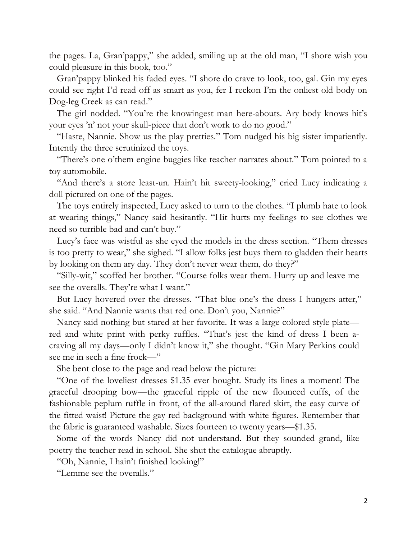the pages. La, Gran'pappy," she added, smiling up at the old man, "I shore wish you could pleasure in this book, too."

Gran'pappy blinked his faded eyes. "I shore do crave to look, too, gal. Gin my eyes could see right I'd read off as smart as you, fer I reckon I'm the onliest old body on Dog-leg Creek as can read."

The girl nodded. "You're the knowingest man here-abouts. Ary body knows hit's your eyes 'n' not your skull-piece that don't work to do no good."

"Haste, Nannie. Show us the play pretties." Tom nudged his big sister impatiently. Intently the three scrutinized the toys.

"There's one o'them engine buggies like teacher narrates about." Tom pointed to a toy automobile.

"And there's a store least-un. Hain't hit sweety-looking," cried Lucy indicating a doll pictured on one of the pages.

The toys entirely inspected, Lucy asked to turn to the clothes. "I plumb hate to look at wearing things," Nancy said hesitantly. "Hit hurts my feelings to see clothes we need so turrible bad and can't buy."

Lucy's face was wistful as she eyed the models in the dress section. "Them dresses is too pretty to wear," she sighed. "I allow folks jest buys them to gladden their hearts by looking on them ary day. They don't never wear them, do they?"

"Silly-wit," scoffed her brother. "Course folks wear them. Hurry up and leave me see the overalls. They're what I want."

But Lucy hovered over the dresses. "That blue one's the dress I hungers atter," she said. "And Nannie wants that red one. Don't you, Nannie?"

Nancy said nothing but stared at her favorite. It was a large colored style plate red and white print with perky ruffles. "That's jest the kind of dress I been acraving all my days—only I didn't know it," she thought. "Gin Mary Perkins could see me in sech a fine frock—"

She bent close to the page and read below the picture:

"One of the loveliest dresses \$1.35 ever bought. Study its lines a moment! The graceful drooping bow—the graceful ripple of the new flounced cuffs, of the fashionable peplum ruffle in front, of the all-around flared skirt, the easy curve of the fitted waist! Picture the gay red background with white figures. Remember that the fabric is guaranteed washable. Sizes fourteen to twenty years—\$1.35.

Some of the words Nancy did not understand. But they sounded grand, like poetry the teacher read in school. She shut the catalogue abruptly.

"Oh, Nannie, I hain't finished looking!"

"Lemme see the overalls."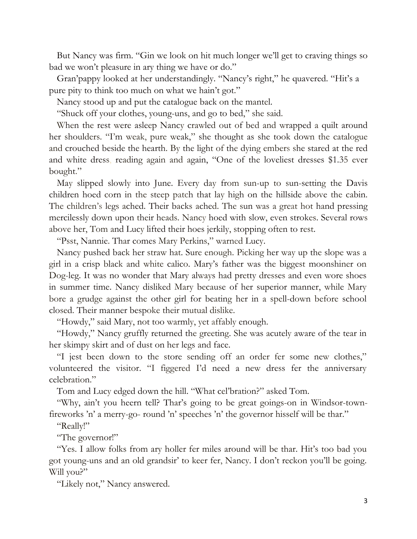But Nancy was firm. "Gin we look on hit much longer we'll get to craving things so bad we won't pleasure in ary thing we have or do."

Gran'pappy looked at her understandingly. "Nancy's right," he quavered. "Hit's a pure pity to think too much on what we hain't got."

Nancy stood up and put the catalogue back on the mantel.

"Shuck off your clothes, young-uns, and go to bed," she said.

When the rest were asleep Nancy crawled out of bed and wrapped a quilt around her shoulders. "I'm weak, pure weak," she thought as she took down the catalogue and crouched beside the hearth. By the light of the dying embers she stared at the red and white dress, reading again and again, "One of the loveliest dresses \$1.35 ever bought."

May slipped slowly into June. Every day from sun-up to sun-setting the Davis children hoed corn in the steep patch that lay high on the hillside above the cabin. The children's legs ached. Their backs ached. The sun was a great hot hand pressing mercilessly down upon their heads. Nancy hoed with slow, even strokes. Several rows above her, Tom and Lucy lifted their hoes jerkily, stopping often to rest.

"Psst, Nannie. Thar comes Mary Perkins," warned Lucy.

Nancy pushed back her straw hat. Sure enough. Picking her way up the slope was a girl in a crisp black and white calico. Mary's father was the biggest moonshiner on Dog-leg. It was no wonder that Mary always had pretty dresses and even wore shoes in summer time. Nancy disliked Mary because of her superior manner, while Mary bore a grudge against the other girl for beating her in a spell-down before school closed. Their manner bespoke their mutual dislike.

"Howdy," said Mary, not too warmly, yet affably enough.

"Howdy," Nancy gruffly returned the greeting. She was acutely aware of the tear in her skimpy skirt and of dust on her legs and face.

"I jest been down to the store sending off an order fer some new clothes," volunteered the visitor. "I figgered I'd need a new dress fer the anniversary celebration."

Tom and Lucy edged down the hill. "What cel'bration?" asked Tom.

"Why, ain't you heern tell? Thar's going to be great goings-on in Windsor-townfireworks 'n' a merry-go- round 'n' speeches 'n' the governor hisself will be thar."

"Really!"

"The governor!"

"Yes. I allow folks from ary holler fer miles around will be thar. Hit's too bad you got young-uns and an old grandsir' to keer fer, Nancy. I don't reckon you'll be going. Will you?"

"Likely not," Nancy answered.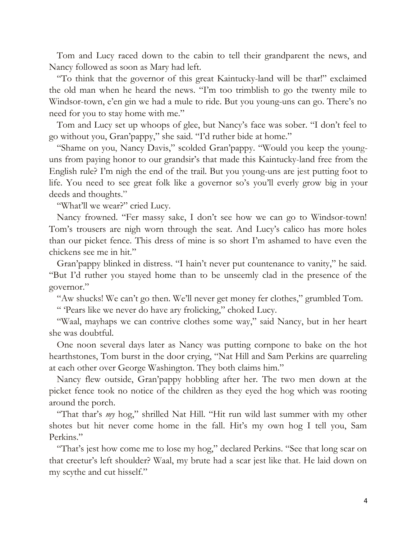Tom and Lucy raced down to the cabin to tell their grandparent the news, and Nancy followed as soon as Mary had left.

"To think that the governor of this great Kaintucky-land will be thar!" exclaimed the old man when he heard the news. "I'm too trimblish to go the twenty mile to Windsor-town, e'en gin we had a mule to ride. But you young-uns can go. There's no need for you to stay home with me."

Tom and Lucy set up whoops of glee, but Nancy's face was sober. "I don't feel to go without you, Gran'pappy," she said. "I'd ruther bide at home."

"Shame on you, Nancy Davis," scolded Gran'pappy. "Would you keep the younguns from paying honor to our grandsir's that made this Kaintucky-land free from the English rule? I'm nigh the end of the trail. But you young-uns are jest putting foot to life. You need to see great folk like a governor so's you'll everly grow big in your deeds and thoughts."

"What'll we wear?" cried Lucy.

Nancy frowned. "Fer massy sake, I don't see how we can go to Windsor-town! Tom's trousers are nigh worn through the seat. And Lucy's calico has more holes than our picket fence. This dress of mine is so short I'm ashamed to have even the chickens see me in hit."

Gran'pappy blinked in distress. "I hain't never put countenance to vanity," he said. "But I'd ruther you stayed home than to be unseemly clad in the presence of the governor."

"Aw shucks! We can't go then. We'll never get money fer clothes," grumbled Tom.

" 'Pears like we never do have ary frolicking," choked Lucy.

"Waal, mayhaps we can contrive clothes some way," said Nancy, but in her heart she was doubtful.

One noon several days later as Nancy was putting cornpone to bake on the hot hearthstones, Tom burst in the door crying, "Nat Hill and Sam Perkins are quarreling at each other over George Washington. They both claims him."

Nancy flew outside, Gran'pappy hobbling after her. The two men down at the picket fence took no notice of the children as they eyed the hog which was rooting around the porch.

"That thar's *my* hog," shrilled Nat Hill. "Hit run wild last summer with my other shotes but hit never come home in the fall. Hit's my own hog I tell you, Sam Perkins."

"That's jest how come me to lose my hog," declared Perkins. "See that long scar on that creetur's left shoulder? Waal, my brute had a scar jest like that. He laid down on my scythe and cut hisself."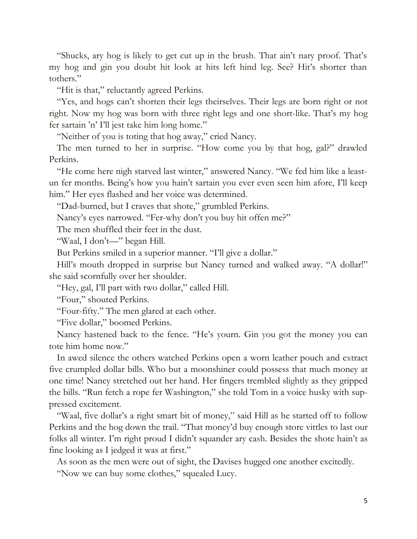"Shucks, ary hog is likely to get cut up in the brush. That ain't nary proof. That's my hog and gin you doubt hit look at hits left hind leg. See? Hit's shorter than tothers."

"Hit is that," reluctantly agreed Perkins.

"Yes, and hogs can't shorten their legs theirselves. Their legs are born right or not right. Now my hog was born with three right legs and one short-like. That's my hog fer sartain 'n' I'll jest take him long home."

"Neither of you is toting that hog away," cried Nancy.

The men turned to her in surprise. "How come you by that hog, gal?" drawled Perkins.

"He come here nigh starved last winter," answered Nancy. "We fed him like a leastun fer months. Being's how you hain't sartain you ever even seen him afore, I'll keep him." Her eyes flashed and her voice was determined.

"Dad-burned, but I craves that shote," grumbled Perkins.

Nancy's eyes narrowed. "Fer-why don't you buy hit offen me?"

The men shuffled their feet in the dust.

"Waal, I don't—" began Hill.

But Perkins smiled in a superior manner. "I'll give a dollar."

Hill's mouth dropped in surprise but Nancy turned and walked away. "A dollar!" she said scornfully over her shoulder.

"Hey, gal, I'll part with two dollar," called Hill.

"Four," shouted Perkins.

"Four-fifty." The men glared at each other.

"Five dollar," boomed Perkins.

Nancy hastened back to the fence. "He's yourn. Gin you got the money you can tote him home now."

In awed silence the others watched Perkins open a worn leather pouch and extract five crumpled dollar bills. Who but a moonshiner could possess that much money at one time! Nancy stretched out her hand. Her fingers trembled slightly as they gripped the bills. "Run fetch a rope fer Washington," she told Tom in a voice husky with suppressed excitement.

"Waal, five dollar's a right smart bit of money," said Hill as he started off to follow Perkins and the hog down the trail. "That money'd buy enough store vittles to last our folks all winter. I'm right proud I didn't squander ary cash. Besides the shote hain't as fine looking as I jedged it was at first."

As soon as the men were out of sight, the Davises hugged one another excitedly.

"Now we can buy some clothes," squealed Lucy.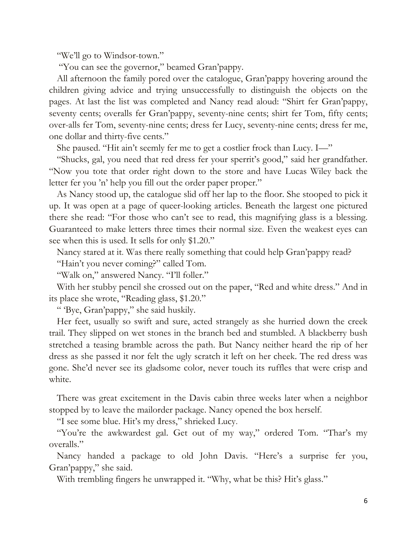"We'll go to Windsor-town."

"You can see the governor," beamed Gran'pappy.

All afternoon the family pored over the catalogue, Gran'pappy hovering around the children giving advice and trying unsuccessfully to distinguish the objects on the pages. At last the list was completed and Nancy read aloud: "Shirt fer Gran'pappy, seventy cents; overalls fer Gran'pappy, seventy-nine cents; shirt fer Tom, fifty cents; over-alls fer Tom, seventy-nine cents; dress fer Lucy, seventy-nine cents; dress fer me, one dollar and thirty-five cents."

She paused. "Hit ain't seemly fer me to get a costlier frock than Lucy. I—"

"Shucks, gal, you need that red dress fer your sperrit's good," said her grandfather. "Now you tote that order right down to the store and have Lucas Wiley back the letter fer you 'n' help you fill out the order paper proper."

As Nancy stood up, the catalogue slid off her lap to the floor. She stooped to pick it up. It was open at a page of queer-looking articles. Beneath the largest one pictured there she read: "For those who can't see to read, this magnifying glass is a blessing. Guaranteed to make letters three times their normal size. Even the weakest eyes can see when this is used. It sells for only \$1.20."

Nancy stared at it. Was there really something that could help Gran'pappy read?

"Hain't you never coming?" called Tom.

"Walk on," answered Nancy. "I'll foller."

With her stubby pencil she crossed out on the paper, "Red and white dress." And in its place she wrote, "Reading glass, \$1.20."

" 'Bye, Gran'pappy," she said huskily.

Her feet, usually so swift and sure, acted strangely as she hurried down the creek trail. They slipped on wet stones in the branch bed and stumbled. A blackberry bush stretched a teasing bramble across the path. But Nancy neither heard the rip of her dress as she passed it nor felt the ugly scratch it left on her cheek. The red dress was gone. She'd never see its gladsome color, never touch its ruffles that were crisp and white.

There was great excitement in the Davis cabin three weeks later when a neighbor stopped by to leave the mailorder package. Nancy opened the box herself.

"I see some blue. Hit's my dress," shrieked Lucy.

"You're the awkwardest gal. Get out of my way," ordered Tom. "Thar's my overalls."

Nancy handed a package to old John Davis. "Here's a surprise fer you, Gran'pappy," she said.

With trembling fingers he unwrapped it. "Why, what be this? Hit's glass."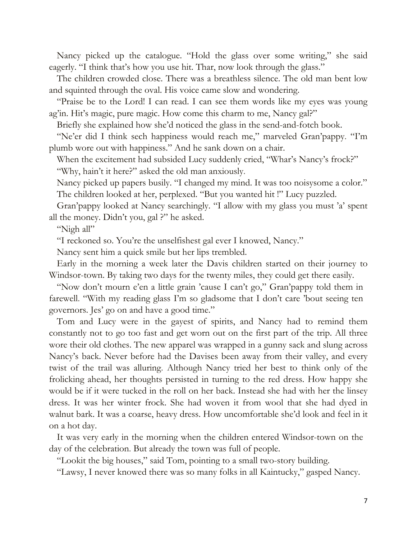Nancy picked up the catalogue. "Hold the glass over some writing," she said eagerly. "I think that's how you use hit. Thar, now look through the glass."

The children crowded close. There was a breathless silence. The old man bent low and squinted through the oval. His voice came slow and wondering.

"Praise be to the Lord! I can read. I can see them words like my eyes was young ag'in. Hit's magic, pure magic. How come this charm to me, Nancy gal?"

Briefly she explained how she'd noticed the glass in the send-and-fotch book.

"Ne'er did I think sech happiness would reach me," marveled Gran'pappy. "I'm plumb wore out with happiness." And he sank down on a chair.

When the excitement had subsided Lucy suddenly cried, "Whar's Nancy's frock?" "Why, hain't it here?" asked the old man anxiously.

Nancy picked up papers busily. "I changed my mind. It was too noisysome a color." The children looked at her, perplexed. "But you wanted hit !" Lucy puzzled.

Gran'pappy looked at Nancy searchingly. "I allow with my glass you must 'a' spent all the money. Didn't you, gal ?" he asked.

"Nigh all"

"I reckoned so. You're the unselfishest gal ever I knowed, Nancy."

Nancy sent him a quick smile but her lips trembled.

Early in the morning a week later the Davis children started on their journey to Windsor-town. By taking two days for the twenty miles, they could get there easily.

"Now don't mourn e'en a little grain 'cause I can't go," Gran'pappy told them in farewell. "With my reading glass I'm so gladsome that I don't care 'bout seeing ten governors. Jes' go on and have a good time."

Tom and Lucy were in the gayest of spirits, and Nancy had to remind them constantly not to go too fast and get worn out on the first part of the trip. All three wore their old clothes. The new apparel was wrapped in a gunny sack and slung across Nancy's back. Never before had the Davises been away from their valley, and every twist of the trail was alluring. Although Nancy tried her best to think only of the frolicking ahead, her thoughts persisted in turning to the red dress. How happy she would be if it were tucked in the roll on her back. Instead she had with her the linsey dress. It was her winter frock. She had woven it from wool that she had dyed in walnut bark. It was a coarse, heavy dress. How uncomfortable she'd look and feel in it on a hot day.

It was very early in the morning when the children entered Windsor-town on the day of the celebration. But already the town was full of people.

"Lookit the big houses," said Tom, pointing to a small two-story building.

"Lawsy, I never knowed there was so many folks in all Kaintucky," gasped Nancy.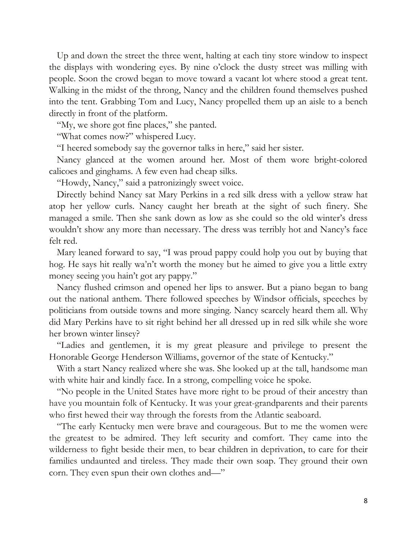Up and down the street the three went, halting at each tiny store window to inspect the displays with wondering eyes. By nine o'clock the dusty street was milling with people. Soon the crowd began to move toward a vacant lot where stood a great tent. Walking in the midst of the throng, Nancy and the children found themselves pushed into the tent. Grabbing Tom and Lucy, Nancy propelled them up an aisle to a bench directly in front of the platform.

"My, we shore got fine places," she panted.

"What comes now?" whispered Lucy.

"I heered somebody say the governor talks in here," said her sister.

Nancy glanced at the women around her. Most of them wore bright-colored calicoes and ginghams. A few even had cheap silks.

"Howdy, Nancy," said a patronizingly sweet voice.

Directly behind Nancy sat Mary Perkins in a red silk dress with a yellow straw hat atop her yellow curls. Nancy caught her breath at the sight of such finery. She managed a smile. Then she sank down as low as she could so the old winter's dress wouldn't show any more than necessary. The dress was terribly hot and Nancy's face felt red.

Mary leaned forward to say, "I was proud pappy could holp you out by buying that hog. He says hit really wa'n't worth the money but he aimed to give you a little extry money seeing you hain't got ary pappy."

Nancy flushed crimson and opened her lips to answer. But a piano began to bang out the national anthem. There followed speeches by Windsor officials, speeches by politicians from outside towns and more singing. Nancy scarcely heard them all. Why did Mary Perkins have to sit right behind her all dressed up in red silk while she wore her brown winter linsey?

"Ladies and gentlemen, it is my great pleasure and privilege to present the Honorable George Henderson Williams, governor of the state of Kentucky."

With a start Nancy realized where she was. She looked up at the tall, handsome man with white hair and kindly face. In a strong, compelling voice he spoke.

"No people in the United States have more right to be proud of their ancestry than have you mountain folk of Kentucky. It was your great-grandparents and their parents who first hewed their way through the forests from the Atlantic seaboard.

"The early Kentucky men were brave and courageous. But to me the women were the greatest to be admired. They left security and comfort. They came into the wilderness to fight beside their men, to bear children in deprivation, to care for their families undaunted and tireless. They made their own soap. They ground their own corn. They even spun their own clothes and—"